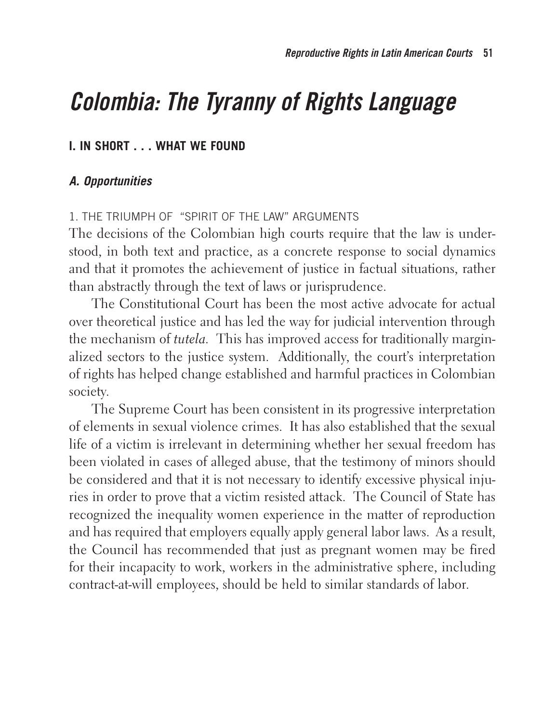# **Colombia: The Tyranny of Rights Language**

# **I. IN SHORT . . . WHAT WE FOUND**

# **A. Opportunities**

#### 1. THE TRIUMPH OF "SPIRIT OF THE LAW" ARGUMENTS

The decisions of the Colombian high courts require that the law is understood, in both text and practice, as a concrete response to social dynamics and that it promotes the achievement of justice in factual situations, rather than abstractly through the text of laws or jurisprudence.

The Constitutional Court has been the most active advocate for actual over theoretical justice and has led the way for judicial intervention through the mechanism of *tutela.* This has improved access for traditionally marginalized sectors to the justice system. Additionally, the court's interpretation of rights has helped change established and harmful practices in Colombian society.

The Supreme Court has been consistent in its progressive interpretation of elements in sexual violence crimes. It has also established that the sexual life of a victim is irrelevant in determining whether her sexual freedom has been violated in cases of alleged abuse, that the testimony of minors should be considered and that it is not necessary to identify excessive physical injuries in order to prove that a victim resisted attack. The Council of State has recognized the inequality women experience in the matter of reproduction and has required that employers equally apply general labor laws. As a result, the Council has recommended that just as pregnant women may be fired for their incapacity to work, workers in the administrative sphere, including contract-at-will employees, should be held to similar standards of labor.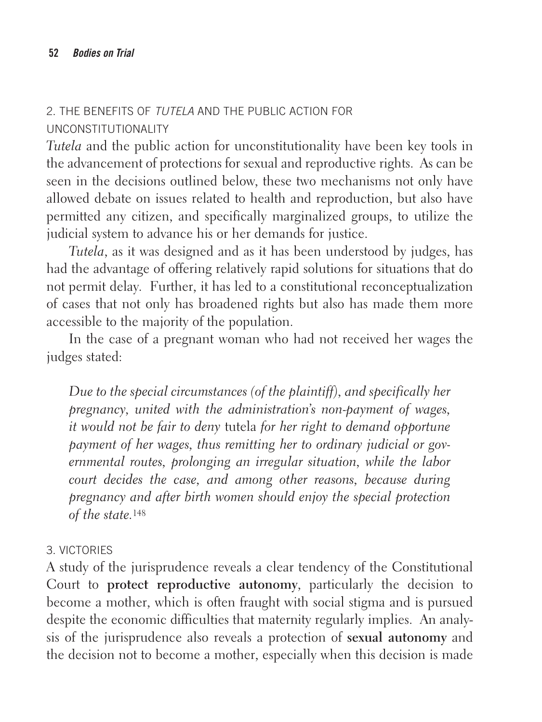## 2. THE BENEFITS OF TUTELA AND THE PUBLIC ACTION FOR UNCONSTITUTIONALITY

*Tutela* and the public action for unconstitutionality have been key tools in the advancement of protections for sexual and reproductive rights. As can be seen in the decisions outlined below, these two mechanisms not only have allowed debate on issues related to health and reproduction, but also have permitted any citizen, and specifically marginalized groups, to utilize the judicial system to advance his or her demands for justice.

*Tutela*, as it was designed and as it has been understood by judges, has had the advantage of offering relatively rapid solutions for situations that do not permit delay. Further, it has led to a constitutional reconceptualization of cases that not only has broadened rights but also has made them more accessible to the majority of the population.

In the case of a pregnant woman who had not received her wages the judges stated:

*Due to the special circumstances (of the plaintiff), and specifically her pregnancy, united with the administration's non-payment of wages, it would not be fair to deny* tutela *for her right to demand opportune payment of her wages, thus remitting her to ordinary judicial or governmental routes, prolonging an irregular situation, while the labor court decides the case, and among other reasons, because during pregnancy and after birth women should enjoy the special protection of the state.*<sup>148</sup>

## 3. VICTORIES

A study of the jurisprudence reveals a clear tendency of the Constitutional Court to **protect reproductive autonomy**, particularly the decision to become a mother, which is often fraught with social stigma and is pursued despite the economic difficulties that maternity regularly implies. An analysis of the jurisprudence also reveals a protection of **sexual autonomy** and the decision not to become a mother, especially when this decision is made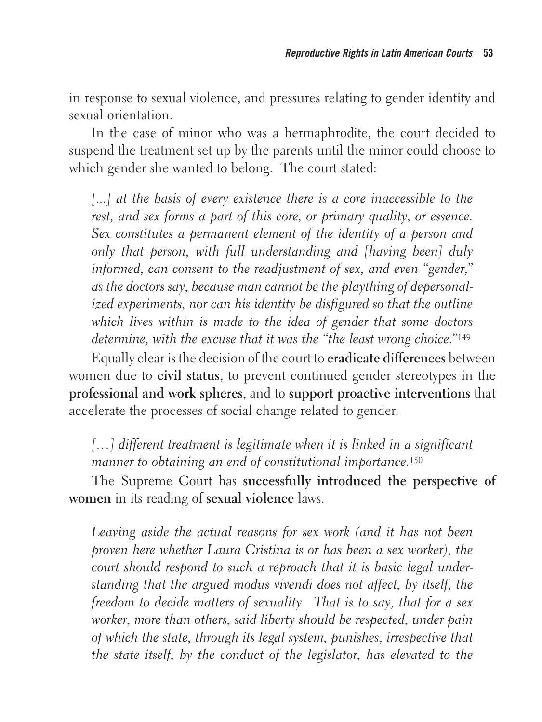in response to sexual violence, and pressures relating to gender identity and sexual orientation.

In the case of minor who was a hermaphrodite, the court decided to suspend the treatment set up by the parents until the minor could choose to which gender she wanted to belong. The court stated:

[...] at the basis of every existence there is a core inaccessible to the *rest, and sex forms a part of this core, or primary quality, or essence. Sex constitutes a permanent element of the identity of a person and only that person, with full understanding and [having been] duly informed, can consent to the readjustment of sex, and even "gender," as the doctors say, because man cannot be the plaything of depersonalized experiments, nor can his identity be disfigured so that the outline which lives within is made to the idea of gender that some doctors determine, with the excuse that it was the "the least wrong choice."*<sup>149</sup>

Equally clear is the decision of the court to **eradicate differences** between women due to **civil status**, to prevent continued gender stereotypes in the **professional and work spheres**, and to **support proactive interventions** that accelerate the processes of social change related to gender.

[...] different treatment is legitimate when it is linked in a significant *manner to obtaining an end of constitutional importance.*<sup>150</sup>

The Supreme Court has **successfully introduced the perspective of women** in its reading of **sexual violence** laws.

Leaving aside the actual reasons for sex work (and it has not been *proven here whether Laura Cristina is or has been a sex worker), the court should respond to such a reproach that it is basic legal understanding that the argued modus vivendi does not affect, by itself, the freedom to decide matters of sexuality. That is to say, that for a sex worker, more than others, said liberty should be respected, under pain of which the state, through its legal system, punishes, irrespective that the state itself, by the conduct of the legislator, has elevated to the*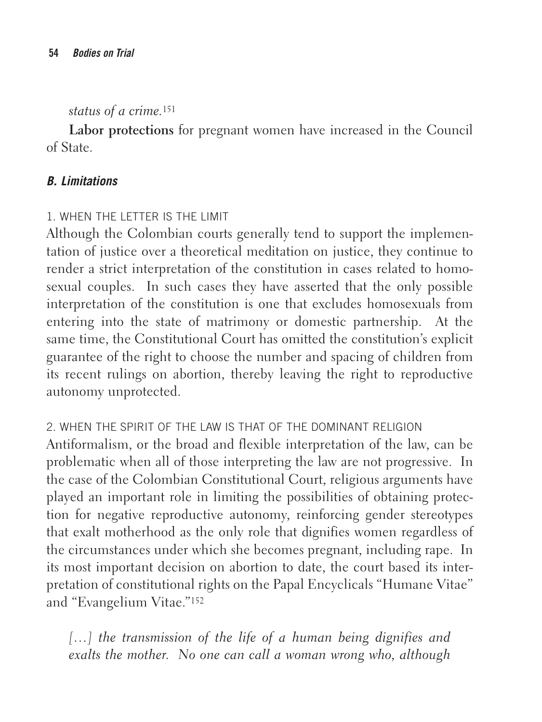*status of a crime.*<sup>151</sup>

**Labor protections** for pregnant women have increased in the Council of State.

## **B. Limitations**

## 1. WHEN THE LETTER IS THE LIMIT

Although the Colombian courts generally tend to support the implementation of justice over a theoretical meditation on justice, they continue to render a strict interpretation of the constitution in cases related to homosexual couples. In such cases they have asserted that the only possible interpretation of the constitution is one that excludes homosexuals from entering into the state of matrimony or domestic partnership. At the same time, the Constitutional Court has omitted the constitution's explicit guarantee of the right to choose the number and spacing of children from its recent rulings on abortion, thereby leaving the right to reproductive autonomy unprotected.

2. WHEN THE SPIRIT OF THE LAW IS THAT OF THE DOMINANT RELIGION Antiformalism, or the broad and flexible interpretation of the law, can be problematic when all of those interpreting the law are not progressive. In the case of the Colombian Constitutional Court, religious arguments have played an important role in limiting the possibilities of obtaining protection for negative reproductive autonomy, reinforcing gender stereotypes that exalt motherhood as the only role that dignifies women regardless of the circumstances under which she becomes pregnant, including rape. In its most important decision on abortion to date, the court based its interpretation of constitutional rights on the Papal Encyclicals "Humane Vitae" and "Evangelium Vitae."152

[...] the transmission of the life of a human being dignifies and *exalts the mother. No one can call a woman wrong who, although*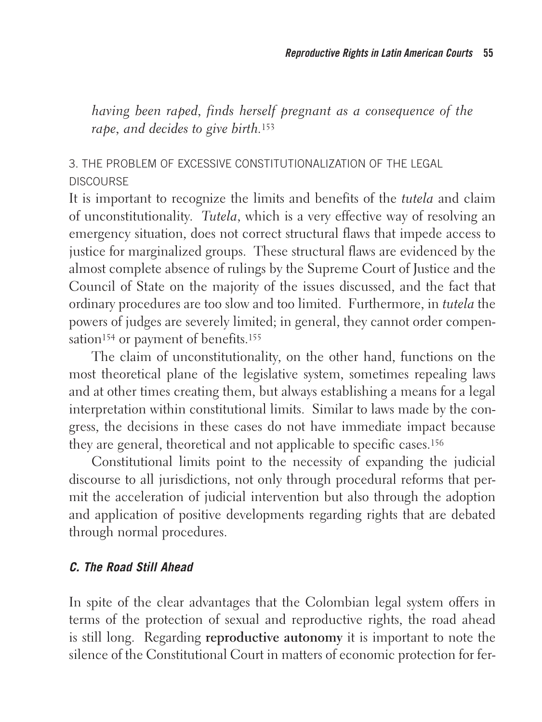*having been raped, finds herself pregnant as a consequence of the rape, and decides to give birth.*<sup>153</sup>

# 3. THE PROBLEM OF EXCESSIVE CONSTITUTIONALIZATION OF THE LEGAL DISCOURSE

It is important to recognize the limits and benefits of the *tutela* and claim of unconstitutionality. *Tutela*, which is a very effective way of resolving an emergency situation, does not correct structural flaws that impede access to justice for marginalized groups. These structural flaws are evidenced by the almost complete absence of rulings by the Supreme Court of Justice and the Council of State on the majority of the issues discussed, and the fact that ordinary procedures are too slow and too limited. Furthermore, in *tutela* the powers of judges are severely limited; in general, they cannot order compensation<sup>154</sup> or payment of benefits.<sup>155</sup>

The claim of unconstitutionality, on the other hand, functions on the most theoretical plane of the legislative system, sometimes repealing laws and at other times creating them, but always establishing a means for a legal interpretation within constitutional limits. Similar to laws made by the congress, the decisions in these cases do not have immediate impact because they are general, theoretical and not applicable to specific cases.156

Constitutional limits point to the necessity of expanding the judicial discourse to all jurisdictions, not only through procedural reforms that permit the acceleration of judicial intervention but also through the adoption and application of positive developments regarding rights that are debated through normal procedures.

## **C. The Road Still Ahead**

In spite of the clear advantages that the Colombian legal system offers in terms of the protection of sexual and reproductive rights, the road ahead is still long. Regarding **reproductive autonomy** it is important to note the silence of the Constitutional Court in matters of economic protection for fer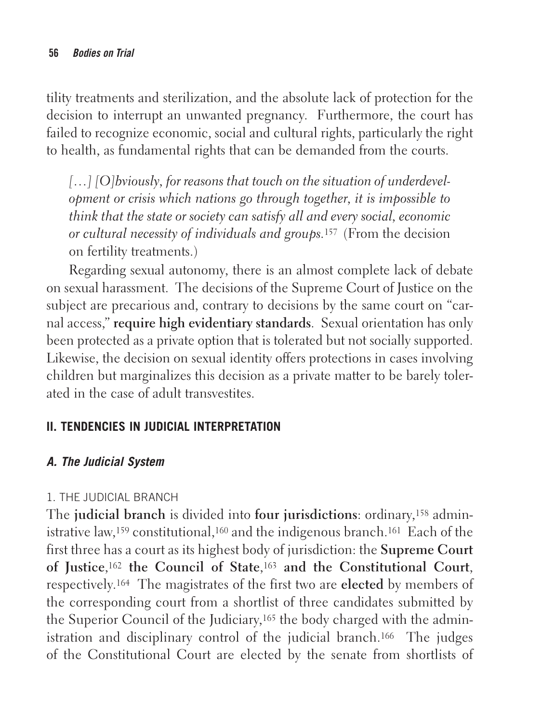tility treatments and sterilization, and the absolute lack of protection for the decision to interrupt an unwanted pregnancy. Furthermore, the court has failed to recognize economic, social and cultural rights, particularly the right to health, as fundamental rights that can be demanded from the courts.

[...] [O]bviously, for reasons that touch on the situation of underdevel*opment or crisis which nations go through together, it is impossible to think that the state or society can satisfy all and every social, economic or cultural necessity of individuals and groups.*157 (From the decision on fertility treatments.)

Regarding sexual autonomy, there is an almost complete lack of debate on sexual harassment. The decisions of the Supreme Court of Justice on the subject are precarious and, contrary to decisions by the same court on "carnal access," **require high evidentiary standards**. Sexual orientation has only been protected as a private option that is tolerated but not socially supported. Likewise, the decision on sexual identity offers protections in cases involving children but marginalizes this decision as a private matter to be barely tolerated in the case of adult transvestites.

## **II. TENDENCIES IN JUDICIAL INTERPRETATION**

# **A. The Judicial System**

# 1. THE JUDICIAL BRANCH

The **judicial branch** is divided into **four jurisdictions**: ordinary,158 administrative law,159 constitutional,160 and the indigenous branch.161 Each of the first three has a court as its highest body of jurisdiction: the **Supreme Court of Justice**,162 **the Council of State**,163 **and the Constitutional Court**, respectively.164 The magistrates of the first two are **elected** by members of the corresponding court from a shortlist of three candidates submitted by the Superior Council of the Judiciary,165 the body charged with the administration and disciplinary control of the judicial branch.166 The judges of the Constitutional Court are elected by the senate from shortlists of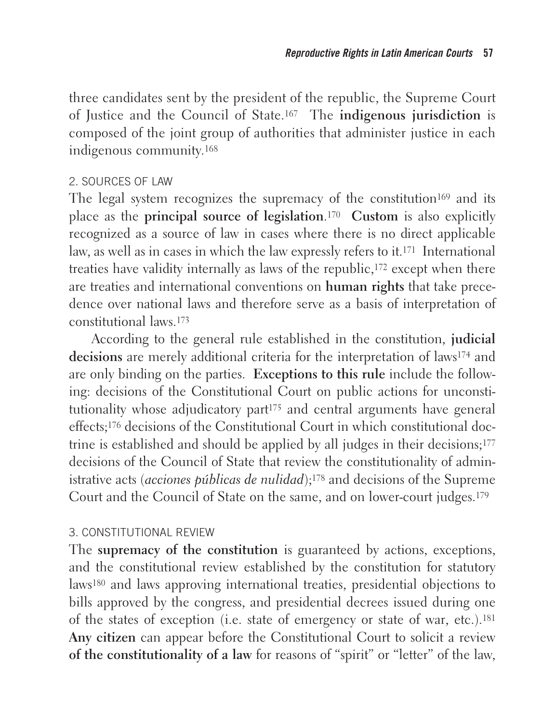three candidates sent by the president of the republic, the Supreme Court of Justice and the Council of State.167 The **indigenous jurisdiction** is composed of the joint group of authorities that administer justice in each indigenous community.168

#### 2. SOURCES OF LAW

The legal system recognizes the supremacy of the constitution<sup>169</sup> and its place as the **principal source of legislation**.170 **Custom** is also explicitly recognized as a source of law in cases where there is no direct applicable law, as well as in cases in which the law expressly refers to it.171 International treaties have validity internally as laws of the republic,172 except when there are treaties and international conventions on **human rights** that take precedence over national laws and therefore serve as a basis of interpretation of constitutional laws.173

According to the general rule established in the constitution, **judicial decisions** are merely additional criteria for the interpretation of laws174 and are only binding on the parties. **Exceptions to this rule** include the following: decisions of the Constitutional Court on public actions for unconstitutionality whose adjudicatory part<sup>175</sup> and central arguments have general effects;176 decisions of the Constitutional Court in which constitutional doctrine is established and should be applied by all judges in their decisions;177 decisions of the Council of State that review the constitutionality of administrative acts (*acciones públicas de nulidad*);178 and decisions of the Supreme Court and the Council of State on the same, and on lower-court judges.179

## 3. CONSTITUTIONAL REVIEW

The **supremacy of the constitution** is guaranteed by actions, exceptions, and the constitutional review established by the constitution for statutory laws180 and laws approving international treaties, presidential objections to bills approved by the congress, and presidential decrees issued during one of the states of exception (i.e. state of emergency or state of war, etc.).181 **Any citizen** can appear before the Constitutional Court to solicit a review **of the constitutionality of a law** for reasons of "spirit" or "letter" of the law,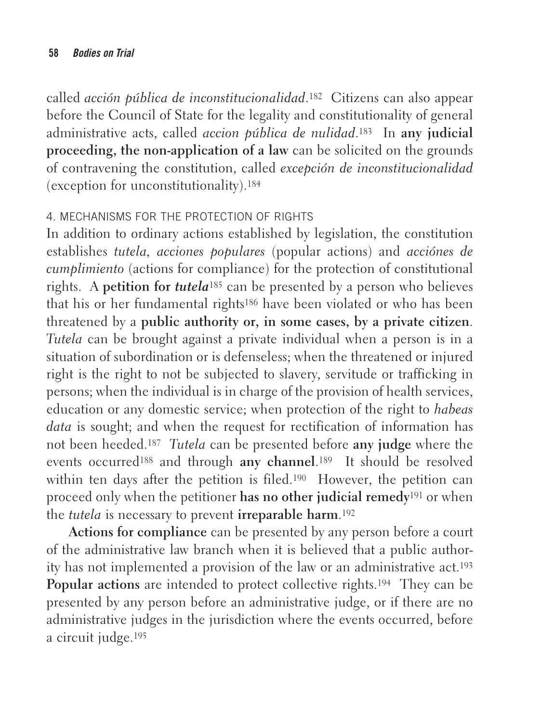called *acción pública de inconstitucionalidad*.182 Citizens can also appear before the Council of State for the legality and constitutionality of general administrative acts, called *accion pública de nulidad*.183 In **any judicial proceeding, the non-application of a law** can be solicited on the grounds of contravening the constitution, called *excepción de inconstitucionalidad* (exception for unconstitutionality).184

## 4. MECHANISMS FOR THE PROTECTION OF RIGHTS

In addition to ordinary actions established by legislation, the constitution establishes *tutela, acciones populares* (popular actions) and *acciónes de cumplimiento* (actions for compliance) for the protection of constitutional rights.A **petition for** *tutela*185 can be presented by a person who believes that his or her fundamental rights186 have been violated or who has been threatened by a **public authority or, in some cases, by a private citizen**. *Tutela* can be brought against a private individual when a person is in a situation of subordination or is defenseless; when the threatened or injured right is the right to not be subjected to slavery, servitude or trafficking in persons; when the individual is in charge of the provision of health services, education or any domestic service; when protection of the right to *habeas data* is sought; and when the request for rectification of information has not been heeded.187 *Tutela* can be presented before **any judge** where the events occurred188 and through **any channel**.189 It should be resolved within ten days after the petition is filed.<sup>190</sup> However, the petition can proceed only when the petitioner **has no other judicial remedy**191 or when the *tutela* is necessary to prevent **irreparable harm**.192

**Actions for compliance** can be presented by any person before a court of the administrative law branch when it is believed that a public authority has not implemented a provision of the law or an administrative act.193 **Popular actions** are intended to protect collective rights.194 They can be presented by any person before an administrative judge, or if there are no administrative judges in the jurisdiction where the events occurred, before a circuit judge.195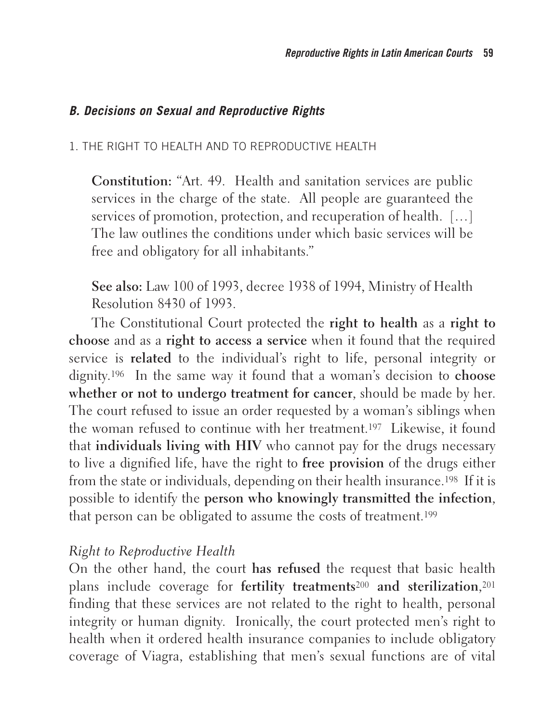#### **B. Decisions on Sexual and Reproductive Rights**

#### 1. THE RIGHT TO HEALTH AND TO REPRODUCTIVE HEALTH

**Constitution:** "Art. 49. Health and sanitation services are public services in the charge of the state. All people are guaranteed the services of promotion, protection, and recuperation of health. […] The law outlines the conditions under which basic services will be free and obligatory for all inhabitants."

**See also:** Law 100 of 1993, decree 1938 of 1994, Ministry of Health Resolution 8430 of 1993.

The Constitutional Court protected the **right to health** as a **right to choose** and as a **right to access a service** when it found that the required service is **related** to the individual's right to life, personal integrity or dignity.196 In the same way it found that a woman's decision to **choose whether or not to undergo treatment for cancer**, should be made by her. The court refused to issue an order requested by a woman's siblings when the woman refused to continue with her treatment.197 Likewise, it found that **individuals living with HIV** who cannot pay for the drugs necessary to live a dignified life, have the right to **free provision** of the drugs either from the state or individuals, depending on their health insurance.198 If it is possible to identify the **person who knowingly transmitted the infection**, that person can be obligated to assume the costs of treatment.199

#### *Right to Reproductive Health*

On the other hand, the court **has refused** the request that basic health plans include coverage for **fertility treatments**200 **and sterilization**,201 finding that these services are not related to the right to health, personal integrity or human dignity. Ironically, the court protected men's right to health when it ordered health insurance companies to include obligatory coverage of Viagra, establishing that men's sexual functions are of vital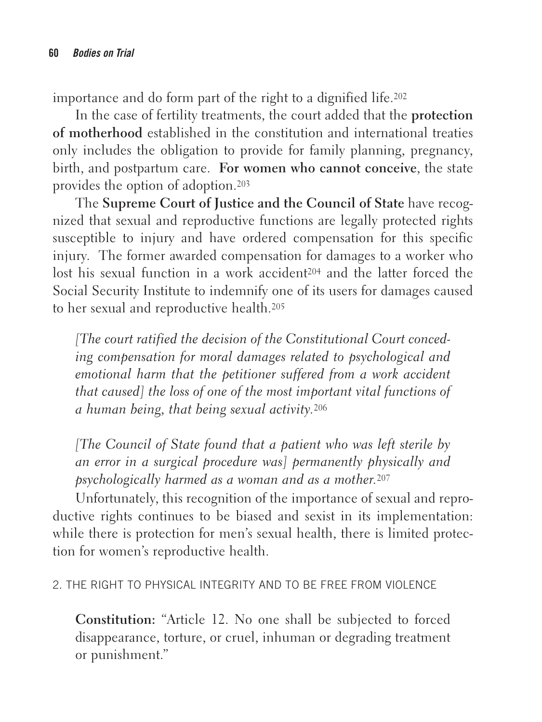importance and do form part of the right to a dignified life.202

In the case of fertility treatments, the court added that the **protection of motherhood** established in the constitution and international treaties only includes the obligation to provide for family planning, pregnancy, birth, and postpartum care. **For women who cannot conceive**, the state provides the option of adoption.203

The **Supreme Court of Justice and the Council of State** have recognized that sexual and reproductive functions are legally protected rights susceptible to injury and have ordered compensation for this specific injury. The former awarded compensation for damages to a worker who lost his sexual function in a work accident204 and the latter forced the Social Security Institute to indemnify one of its users for damages caused to her sexual and reproductive health.205

*[The court ratified the decision of the Constitutional Court conceding compensation for moral damages related to psychological and emotional harm that the petitioner suffered from a work accident that caused] the loss of one of the most important vital functions of a human being, that being sexual activity.*<sup>206</sup>

*[The Council of State found that a patient who was left sterile by an error in a surgical procedure was] permanently physically and psychologically harmed as a woman and as a mother.*<sup>207</sup>

Unfortunately, this recognition of the importance of sexual and reproductive rights continues to be biased and sexist in its implementation: while there is protection for men's sexual health, there is limited protection for women's reproductive health.

2. THE RIGHT TO PHYSICAL INTEGRITY AND TO BE FREE FROM VIOLENCE

**Constitution:** "Article 12. No one shall be subjected to forced disappearance, torture, or cruel, inhuman or degrading treatment or punishment."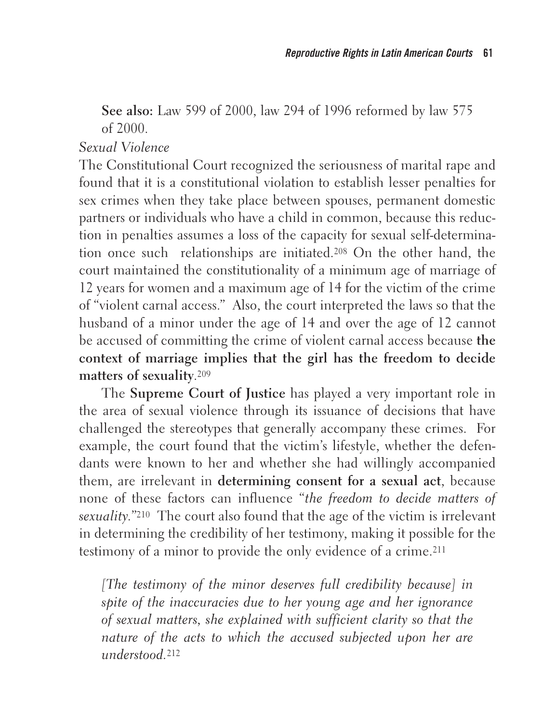**See also:** Law 599 of 2000, law 294 of 1996 reformed by law 575 of 2000.

#### *Sexual Violence*

The Constitutional Court recognized the seriousness of marital rape and found that it is a constitutional violation to establish lesser penalties for sex crimes when they take place between spouses, permanent domestic partners or individuals who have a child in common, because this reduction in penalties assumes a loss of the capacity for sexual self-determination once such relationships are initiated.208 On the other hand, the court maintained the constitutionality of a minimum age of marriage of 12 years for women and a maximum age of 14 for the victim of the crime of "violent carnal access." Also, the court interpreted the laws so that the husband of a minor under the age of 14 and over the age of 12 cannot be accused of committing the crime of violent carnal access because **the context of marriage implies that the girl has the freedom to decide matters of sexuality**.209

The **Supreme Court of Justice** has played a very important role in the area of sexual violence through its issuance of decisions that have challenged the stereotypes that generally accompany these crimes. For example, the court found that the victim's lifestyle, whether the defendants were known to her and whether she had willingly accompanied them, are irrelevant in **determining consent for a sexual act**, because none of these factors can influence "*the freedom to decide matters of sexuality."*210 The court also found that the age of the victim is irrelevant in determining the credibility of her testimony, making it possible for the testimony of a minor to provide the only evidence of a crime.211

*[The testimony of the minor deserves full credibility because] in spite of the inaccuracies due to her young age and her ignorance of sexual matters, she explained with sufficient clarity so that the nature of the acts to which the accused subjected upon her are understood.*<sup>212</sup>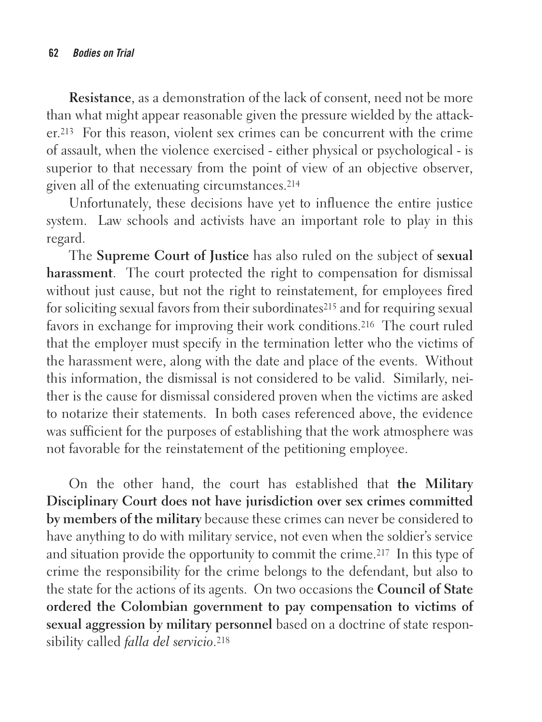**Resistance**, as a demonstration of the lack of consent, need not be more than what might appear reasonable given the pressure wielded by the attacker.213 For this reason, violent sex crimes can be concurrent with the crime of assault, when the violence exercised - either physical or psychological - is superior to that necessary from the point of view of an objective observer, given all of the extenuating circumstances.214

Unfortunately, these decisions have yet to influence the entire justice system. Law schools and activists have an important role to play in this regard.

The **Supreme Court of Justice** has also ruled on the subject of **sexual harassment**. The court protected the right to compensation for dismissal without just cause, but not the right to reinstatement, for employees fired for soliciting sexual favors from their subordinates<sup>215</sup> and for requiring sexual favors in exchange for improving their work conditions.216 The court ruled that the employer must specify in the termination letter who the victims of the harassment were, along with the date and place of the events. Without this information, the dismissal is not considered to be valid. Similarly, neither is the cause for dismissal considered proven when the victims are asked to notarize their statements. In both cases referenced above, the evidence was sufficient for the purposes of establishing that the work atmosphere was not favorable for the reinstatement of the petitioning employee.

On the other hand, the court has established that **the Military Disciplinary Court does not have jurisdiction over sex crimes committed by members of the military** because these crimes can never be considered to have anything to do with military service, not even when the soldier's service and situation provide the opportunity to commit the crime.217 In this type of crime the responsibility for the crime belongs to the defendant, but also to the state for the actions of its agents. On two occasions the **Council of State ordered the Colombian government to pay compensation to victims of sexual aggression by military personnel** based on a doctrine of state responsibility called *falla del servicio*.218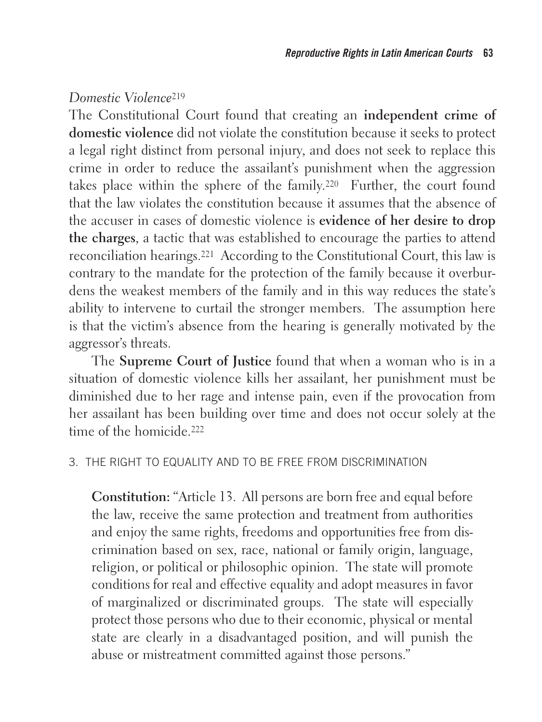#### *Domestic Violence*<sup>219</sup>

The Constitutional Court found that creating an **independent crime of domestic violence** did not violate the constitution because it seeks to protect a legal right distinct from personal injury, and does not seek to replace this crime in order to reduce the assailant's punishment when the aggression takes place within the sphere of the family.220 Further, the court found that the law violates the constitution because it assumes that the absence of the accuser in cases of domestic violence is **evidence of her desire to drop the charges**, a tactic that was established to encourage the parties to attend reconciliation hearings.221 According to the Constitutional Court, this law is contrary to the mandate for the protection of the family because it overburdens the weakest members of the family and in this way reduces the state's ability to intervene to curtail the stronger members. The assumption here is that the victim's absence from the hearing is generally motivated by the aggressor's threats.

The **Supreme Court of Justice** found that when a woman who is in a situation of domestic violence kills her assailant, her punishment must be diminished due to her rage and intense pain, even if the provocation from her assailant has been building over time and does not occur solely at the time of the homicide.<sup>222</sup>

#### 3. THE RIGHT TO EQUALITY AND TO BE FREE FROM DISCRIMINATION

**Constitution:** "Article 13. All persons are born free and equal before the law, receive the same protection and treatment from authorities and enjoy the same rights, freedoms and opportunities free from discrimination based on sex, race, national or family origin, language, religion, or political or philosophic opinion. The state will promote conditions for real and effective equality and adopt measures in favor of marginalized or discriminated groups. The state will especially protect those persons who due to their economic, physical or mental state are clearly in a disadvantaged position, and will punish the abuse or mistreatment committed against those persons."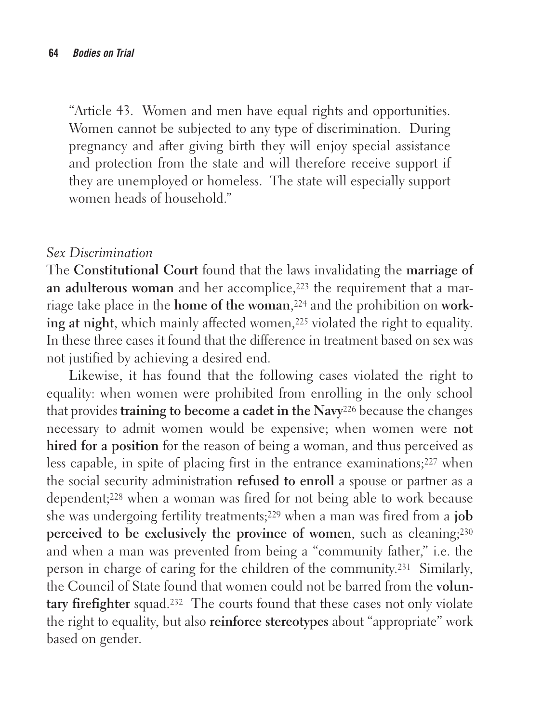"Article 43. Women and men have equal rights and opportunities. Women cannot be subjected to any type of discrimination. During pregnancy and after giving birth they will enjoy special assistance and protection from the state and will therefore receive support if they are unemployed or homeless. The state will especially support women heads of household."

#### *Sex Discrimination*

The **Constitutional Court** found that the laws invalidating the **marriage of an adulterous woman** and her accomplice,<sup>223</sup> the requirement that a marriage take place in the **home of the woman**,224 and the prohibition on **working at night**, which mainly affected women,<sup>225</sup> violated the right to equality. In these three cases it found that the difference in treatment based on sex was not justified by achieving a desired end.

Likewise, it has found that the following cases violated the right to equality: when women were prohibited from enrolling in the only school that provides **training to become a cadet in the Navy**226 because the changes necessary to admit women would be expensive; when women were **not hired for a position** for the reason of being a woman, and thus perceived as less capable, in spite of placing first in the entrance examinations;227 when the social security administration **refused to enroll** a spouse or partner as a dependent;228 when a woman was fired for not being able to work because she was undergoing fertility treatments;229 when a man was fired from a **job perceived to be exclusively the province of women**, such as cleaning;230 and when a man was prevented from being a "community father," i.e. the person in charge of caring for the children of the community.231 Similarly, the Council of State found that women could not be barred from the **voluntary firefighter** squad.232 The courts found that these cases not only violate the right to equality, but also **reinforce stereotypes** about "appropriate" work based on gender.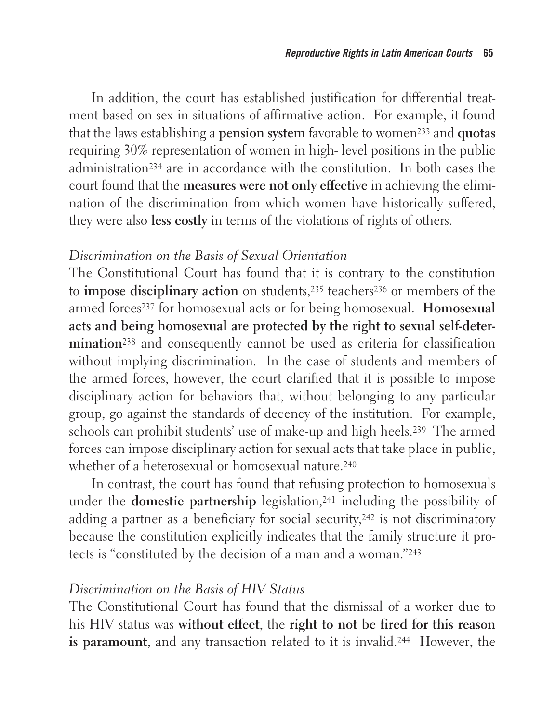In addition, the court has established justification for differential treatment based on sex in situations of affirmative action. For example, it found that the laws establishing a **pension system** favorable to women233 and **quotas** requiring 30% representation of women in high- level positions in the public administration234 are in accordance with the constitution. In both cases the court found that the **measures were not only effective** in achieving the elimination of the discrimination from which women have historically suffered, they were also **less costly** in terms of the violations of rights of others.

#### *Discrimination on the Basis of Sexual Orientation*

The Constitutional Court has found that it is contrary to the constitution to **impose disciplinary action** on students,<sup>235</sup> teachers<sup>236</sup> or members of the armed forces237 for homosexual acts or for being homosexual. **Homosexual acts and being homosexual are protected by the right to sexual self-determination**238 and consequently cannot be used as criteria for classification without implying discrimination. In the case of students and members of the armed forces, however, the court clarified that it is possible to impose disciplinary action for behaviors that, without belonging to any particular group, go against the standards of decency of the institution. For example, schools can prohibit students' use of make-up and high heels.239 The armed forces can impose disciplinary action for sexual acts that take place in public, whether of a heterosexual or homosexual nature.<sup>240</sup>

In contrast, the court has found that refusing protection to homosexuals under the **domestic partnership** legislation,<sup>241</sup> including the possibility of adding a partner as a beneficiary for social security,242 is not discriminatory because the constitution explicitly indicates that the family structure it protects is "constituted by the decision of a man and a woman."243

#### *Discrimination on the Basis of HIV Status*

The Constitutional Court has found that the dismissal of a worker due to his HIV status was **without effect**, the **right to not be fired for this reason is paramount**, and any transaction related to it is invalid.244 However, the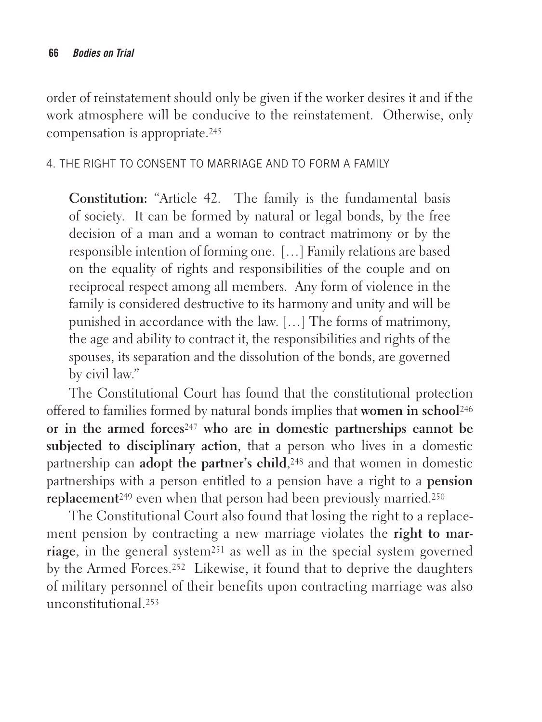order of reinstatement should only be given if the worker desires it and if the work atmosphere will be conducive to the reinstatement. Otherwise, only compensation is appropriate.245

4. THE RIGHT TO CONSENT TO MARRIAGE AND TO FORM A FAMILY

**Constitution:** "Article 42. The family is the fundamental basis of society. It can be formed by natural or legal bonds, by the free decision of a man and a woman to contract matrimony or by the responsible intention of forming one. […] Family relations are based on the equality of rights and responsibilities of the couple and on reciprocal respect among all members. Any form of violence in the family is considered destructive to its harmony and unity and will be punished in accordance with the law. […] The forms of matrimony, the age and ability to contract it, the responsibilities and rights of the spouses, its separation and the dissolution of the bonds, are governed by civil law."

The Constitutional Court has found that the constitutional protection offered to families formed by natural bonds implies that **women in school**<sup>246</sup> **or in the armed forces**247 **who are in domestic partnerships cannot be subjected to disciplinary action**, that a person who lives in a domestic partnership can **adopt the partner's child**,248 and that women in domestic partnerships with a person entitled to a pension have a right to a **pension replacement**249 even when that person had been previously married.250

The Constitutional Court also found that losing the right to a replacement pension by contracting a new marriage violates the **right to marriage**, in the general system251 as well as in the special system governed by the Armed Forces.252 Likewise, it found that to deprive the daughters of military personnel of their benefits upon contracting marriage was also unconstitutional.253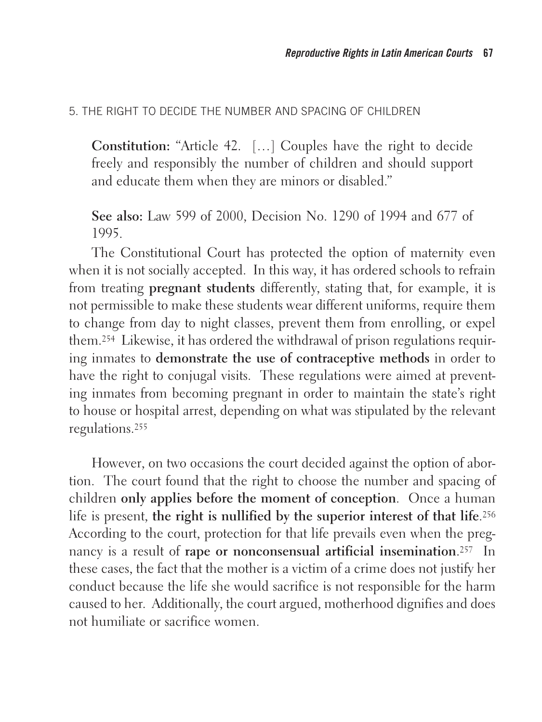#### 5. THE RIGHT TO DECIDE THE NUMBER AND SPACING OF CHILDREN

**Constitution:** "Article 42. […] Couples have the right to decide freely and responsibly the number of children and should support and educate them when they are minors or disabled."

**See also:** Law 599 of 2000, Decision No. 1290 of 1994 and 677 of 1995.

The Constitutional Court has protected the option of maternity even when it is not socially accepted. In this way, it has ordered schools to refrain from treating **pregnant students** differently, stating that, for example, it is not permissible to make these students wear different uniforms, require them to change from day to night classes, prevent them from enrolling, or expel them.254 Likewise, it has ordered the withdrawal of prison regulations requiring inmates to **demonstrate the use of contraceptive methods** in order to have the right to conjugal visits. These regulations were aimed at preventing inmates from becoming pregnant in order to maintain the state's right to house or hospital arrest, depending on what was stipulated by the relevant regulations.255

However, on two occasions the court decided against the option of abortion. The court found that the right to choose the number and spacing of children **only applies before the moment of conception**. Once a human life is present, **the right is nullified by the superior interest of that life**.256 According to the court, protection for that life prevails even when the pregnancy is a result of **rape or nonconsensual artificial insemination**.257 In these cases, the fact that the mother is a victim of a crime does not justify her conduct because the life she would sacrifice is not responsible for the harm caused to her. Additionally, the court argued, motherhood dignifies and does not humiliate or sacrifice women.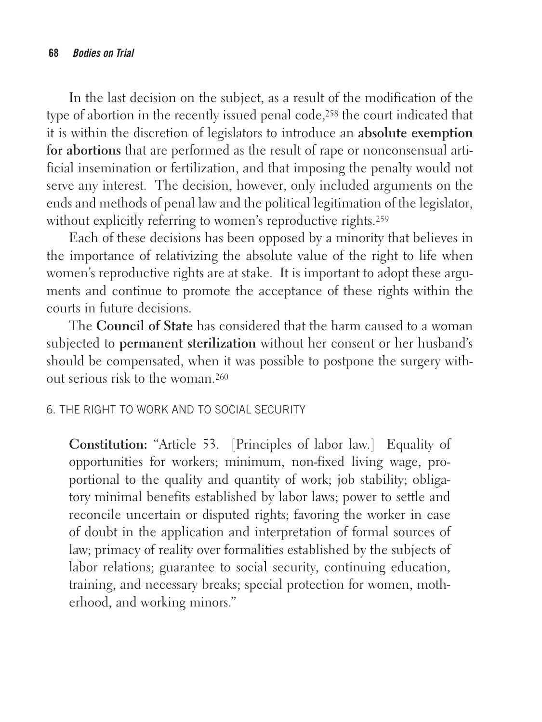In the last decision on the subject, as a result of the modification of the type of abortion in the recently issued penal code,258 the court indicated that it is within the discretion of legislators to introduce an **absolute exemption for abortions** that are performed as the result of rape or nonconsensual artificial insemination or fertilization, and that imposing the penalty would not serve any interest. The decision, however, only included arguments on the ends and methods of penal law and the political legitimation of the legislator, without explicitly referring to women's reproductive rights.<sup>259</sup>

Each of these decisions has been opposed by a minority that believes in the importance of relativizing the absolute value of the right to life when women's reproductive rights are at stake. It is important to adopt these arguments and continue to promote the acceptance of these rights within the courts in future decisions.

The **Council of State** has considered that the harm caused to a woman subjected to **permanent sterilization** without her consent or her husband's should be compensated, when it was possible to postpone the surgery without serious risk to the woman.260

#### 6. THE RIGHT TO WORK AND TO SOCIAL SECURITY

**Constitution:** "Article 53. [Principles of labor law.] Equality of opportunities for workers; minimum, non-fixed living wage, proportional to the quality and quantity of work; job stability; obligatory minimal benefits established by labor laws; power to settle and reconcile uncertain or disputed rights; favoring the worker in case of doubt in the application and interpretation of formal sources of law; primacy of reality over formalities established by the subjects of labor relations; guarantee to social security, continuing education, training, and necessary breaks; special protection for women, motherhood, and working minors."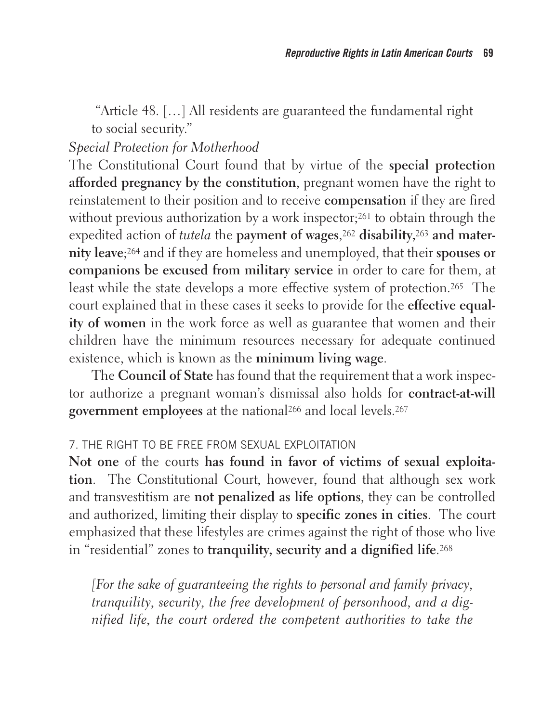"Article 48. […] All residents are guaranteed the fundamental right to social security."

# *Special Protection for Motherhood*

The Constitutional Court found that by virtue of the **special protection afforded pregnancy by the constitution**, pregnant women have the right to reinstatement to their position and to receive **compensation** if they are fired without previous authorization by a work inspector;<sup>261</sup> to obtain through the expedited action of *tutela* the **payment of wages**,262 **disability,**263 **and maternity leave**;264 and if they are homeless and unemployed, that their **spouses or companions be excused from military service** in order to care for them, at least while the state develops a more effective system of protection.265 The court explained that in these cases it seeks to provide for the **effective equality of women** in the work force as well as guarantee that women and their children have the minimum resources necessary for adequate continued existence, which is known as the **minimum living wage**.

The **Council of State** has found that the requirement that a work inspector authorize a pregnant woman's dismissal also holds for **contract-at-will government employees** at the national266 and local levels.267

#### 7. THE RIGHT TO BE FREE FROM SEXUAL EXPLOITATION

**Not one** of the courts **has found in favor of victims of sexual exploitation**. The Constitutional Court, however, found that although sex work and transvestitism are **not penalized as life options**, they can be controlled and authorized, limiting their display to **specific zones in cities**. The court emphasized that these lifestyles are crimes against the right of those who live in "residential" zones to **tranquility, security and a dignified life**.268

*[For the sake of guaranteeing the rights to personal and family privacy, tranquility, security, the free development of personhood, and a dignified life, the court ordered the competent authorities to take the*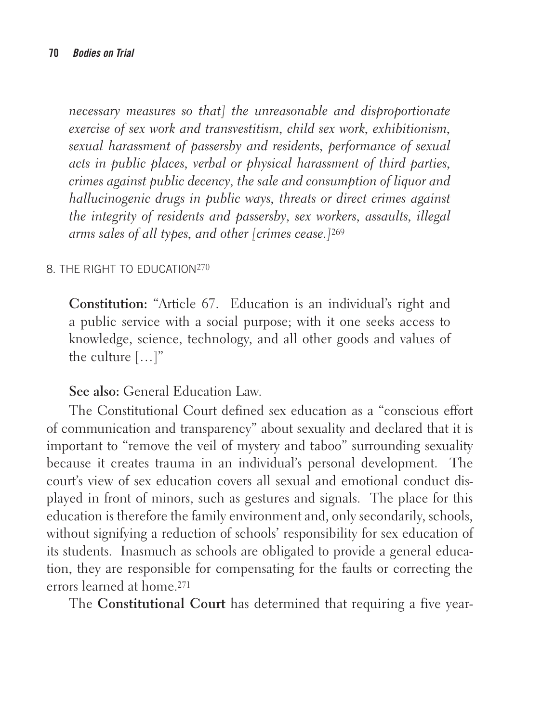*necessary measures so that] the unreasonable and disproportionate exercise of sex work and transvestitism, child sex work, exhibitionism, sexual harassment of passersby and residents, performance of sexual acts in public places, verbal or physical harassment of third parties, crimes against public decency, the sale and consumption of liquor and hallucinogenic drugs in public ways, threats or direct crimes against the integrity of residents and passersby, sex workers, assaults, illegal arms sales of all types, and other [crimes cease.]*<sup>269</sup>

#### 8. THE RIGHT TO EDUCATION270

**Constitution:** "Article 67. Education is an individual's right and a public service with a social purpose; with it one seeks access to knowledge, science, technology, and all other goods and values of the culture […]"

**See also:** General Education Law.

The Constitutional Court defined sex education as a "conscious effort of communication and transparency" about sexuality and declared that it is important to "remove the veil of mystery and taboo" surrounding sexuality because it creates trauma in an individual's personal development. The court's view of sex education covers all sexual and emotional conduct displayed in front of minors, such as gestures and signals. The place for this education is therefore the family environment and, only secondarily, schools, without signifying a reduction of schools' responsibility for sex education of its students. Inasmuch as schools are obligated to provide a general education, they are responsible for compensating for the faults or correcting the errors learned at home.271

The **Constitutional Court** has determined that requiring a five year-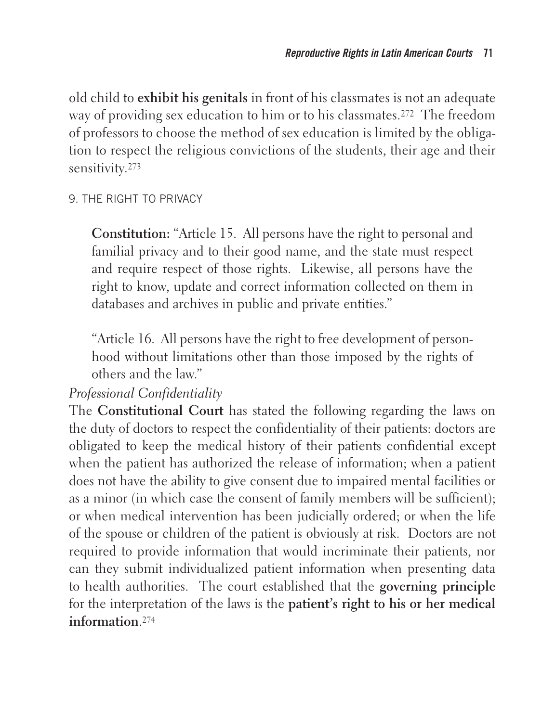old child to **exhibit his genitals** in front of his classmates is not an adequate way of providing sex education to him or to his classmates.<sup>272</sup> The freedom of professors to choose the method of sex education is limited by the obligation to respect the religious convictions of the students, their age and their sensitivity.273

#### 9. THE RIGHT TO PRIVACY

**Constitution:** "Article 15. All persons have the right to personal and familial privacy and to their good name, and the state must respect and require respect of those rights. Likewise, all persons have the right to know, update and correct information collected on them in databases and archives in public and private entities."

"Article 16. All persons have the right to free development of personhood without limitations other than those imposed by the rights of others and the law."

#### *Professional Confidentiality*

The **Constitutional Court** has stated the following regarding the laws on the duty of doctors to respect the confidentiality of their patients: doctors are obligated to keep the medical history of their patients confidential except when the patient has authorized the release of information; when a patient does not have the ability to give consent due to impaired mental facilities or as a minor (in which case the consent of family members will be sufficient); or when medical intervention has been judicially ordered; or when the life of the spouse or children of the patient is obviously at risk. Doctors are not required to provide information that would incriminate their patients, nor can they submit individualized patient information when presenting data to health authorities. The court established that the **governing principle** for the interpretation of the laws is the **patient's right to his or her medical information**.274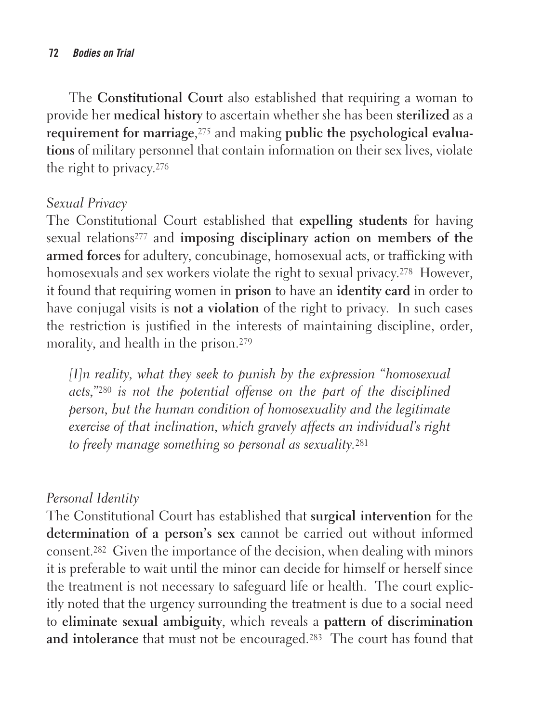The **Constitutional Court** also established that requiring a woman to provide her **medical history** to ascertain whether she has been **sterilized** as a **requirement for marriage**,<sup>275</sup> and making **public the psychological evaluations** of military personnel that contain information on their sex lives, violate the right to privacy.276

#### *Sexual Privacy*

The Constitutional Court established that **expelling students** for having sexual relations277 and **imposing disciplinary action on members of the armed forces** for adultery, concubinage, homosexual acts, or trafficking with homosexuals and sex workers violate the right to sexual privacy.<sup>278</sup> However, it found that requiring women in **prison** to have an **identity card** in order to have conjugal visits is **not a violation** of the right to privacy. In such cases the restriction is justified in the interests of maintaining discipline, order, morality, and health in the prison.279

*[I]n reality, what they seek to punish by the expression "homosexual acts,"*280 *is not the potential offense on the part of the disciplined person, but the human condition of homosexuality and the legitimate exercise of that inclination, which gravely affects an individual's right to freely manage something so personal as sexuality.*<sup>281</sup>

## *Personal Identity*

The Constitutional Court has established that **surgical intervention** for the **determination of a person's sex** cannot be carried out without informed consent.282 Given the importance of the decision, when dealing with minors it is preferable to wait until the minor can decide for himself or herself since the treatment is not necessary to safeguard life or health. The court explicitly noted that the urgency surrounding the treatment is due to a social need to **eliminate sexual ambiguity**, which reveals a **pattern of discrimination**  and intolerance that must not be encouraged.<sup>283</sup> The court has found that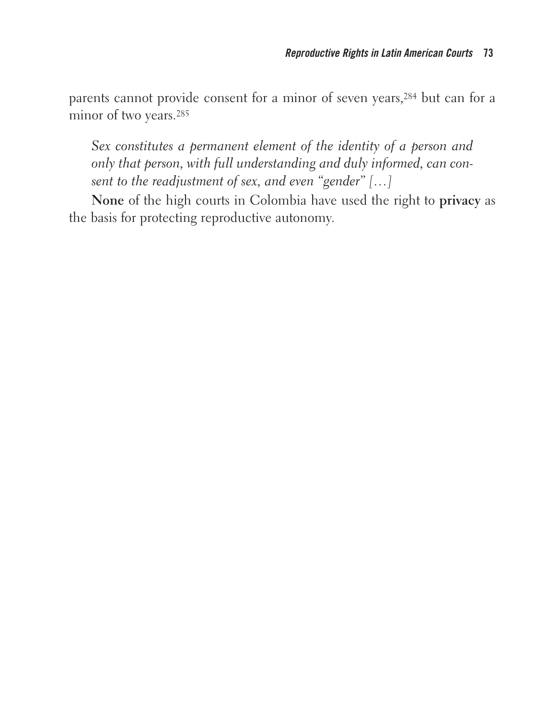parents cannot provide consent for a minor of seven years,284 but can for a minor of two years.285

*Sex constitutes a permanent element of the identity of a person and only that person, with full understanding and duly informed, can consent to the readjustment of sex, and even "gender" […]*

**None** of the high courts in Colombia have used the right to **privacy** as the basis for protecting reproductive autonomy.